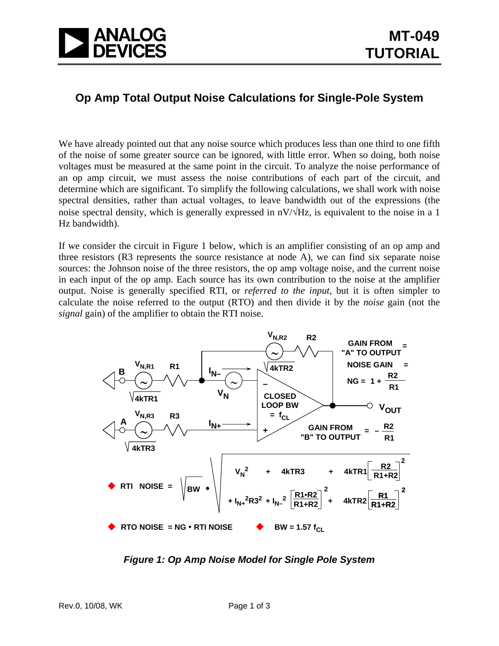

## **Op Amp Total Output Noise Calculations for Single-Pole System**

We have already pointed out that any noise source which produces less than one third to one fifth of the noise of some greater source can be ignored, with little error. When so doing, both noise voltages must be measured at the same point in the circuit. To analyze the noise performance of an op amp circuit, we must assess the noise contributions of each part of the circuit, and determine which are significant. To simplify the following calculations, we shall work with noise spectral densities, rather than actual voltages, to leave bandwidth out of the expressions (the noise spectral density, which is generally expressed in  $nV/\sqrt{Hz}$ , is equivalent to the noise in a 1 Hz bandwidth).

If we consider the circuit in Figure 1 below, which is an amplifier consisting of an op amp and three resistors (R3 represents the source resistance at node A), we can find six separate noise sources: the Johnson noise of the three resistors, the op amp voltage noise, and the current noise in each input of the op amp. Each source has its own contribution to the noise at the amplifier output. Noise is generally specified RTI, or *referred to the input*, but it is often simpler to calculate the noise referred to the output (RTO) and then divide it by the *noise* gain (not the *signal* gain) of the amplifier to obtain the RTI noise.



*Figure 1: Op Amp Noise Model for Single Pole System*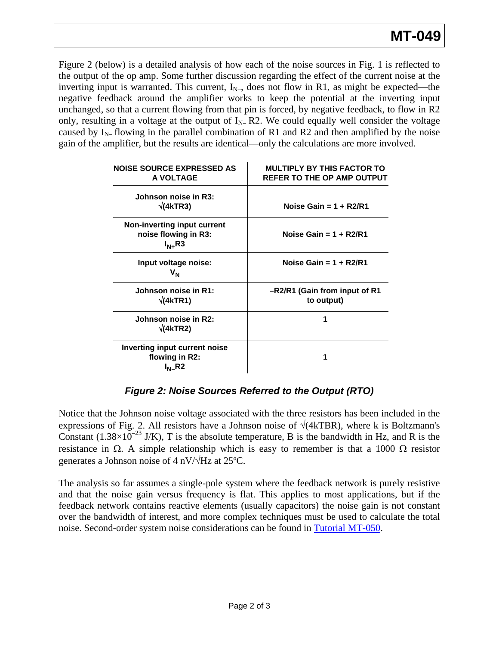Figure 2 (below) is a detailed analysis of how each of the noise sources in Fig. 1 is reflected to the output of the op amp. Some further discussion regarding the effect of the current noise at the inverting input is warranted. This current,  $I_{N-}$ , does not flow in R1, as might be expected—the negative feedback around the amplifier works to keep the potential at the inverting input unchanged, so that a current flowing from that pin is forced, by negative feedback, to flow in R2 only, resulting in a voltage at the output of  $I_{N-}R2$ . We could equally well consider the voltage caused by  $I_{N-}$  flowing in the parallel combination of R1 and R2 and then amplified by the noise gain of the amplifier, but the results are identical—only the calculations are more involved.

| <b>NOISE SOURCE EXPRESSED AS</b><br>A VOLTAGE                      | <b>MULTIPLY BY THIS FACTOR TO</b><br>REFER TO THE OP AMP OUTPUT |
|--------------------------------------------------------------------|-----------------------------------------------------------------|
| Johnson noise in R3:<br>$\sqrt{(4kTR3)}$                           | Noise Gain = $1 + R2/R1$                                        |
| Non-inverting input current<br>noise flowing in R3:<br>$I_{N+}$ R3 | Noise Gain = $1 + R2/R1$                                        |
| Input voltage noise:<br>V <sub>N</sub>                             | Noise Gain = $1 + R2/R1$                                        |
| Johnson noise in R1:<br>$\sqrt{(4kTR1)}$                           | -R2/R1 (Gain from input of R1<br>to output)                     |
| Johnson noise in R2:<br>$\sqrt{(4kTR2)}$                           | 1                                                               |
| <b>Inverting input current noise</b><br>flowing in R2:             | 1                                                               |

*Figure 2: Noise Sources Referred to the Output (RTO)* 

Notice that the Johnson noise voltage associated with the three resistors has been included in the expressions of Fig. 2. All resistors have a Johnson noise of  $\sqrt{(4kTBR)}$ , where k is Boltzmann's Constant (1.38×10<sup>-23</sup> J/K), T is the absolute temperature, B is the bandwidth in Hz, and R is the resistance in Ω. A simple relationship which is easy to remember is that a 1000  $\Omega$  resistor generates a Johnson noise of 4 nV/√Hz at 25ºC.

The analysis so far assumes a single-pole system where the feedback network is purely resistive and that the noise gain versus frequency is flat. This applies to most applications, but if the feedback network contains reactive elements (usually capacitors) the noise gain is not constant over the bandwidth of interest, and more complex techniques must be used to calculate the total noise. Second-order system noise considerations can be found in [Tutorial MT-050.](http://www.analog.com/static/imported-files/tutorials/MT-050.pdf)